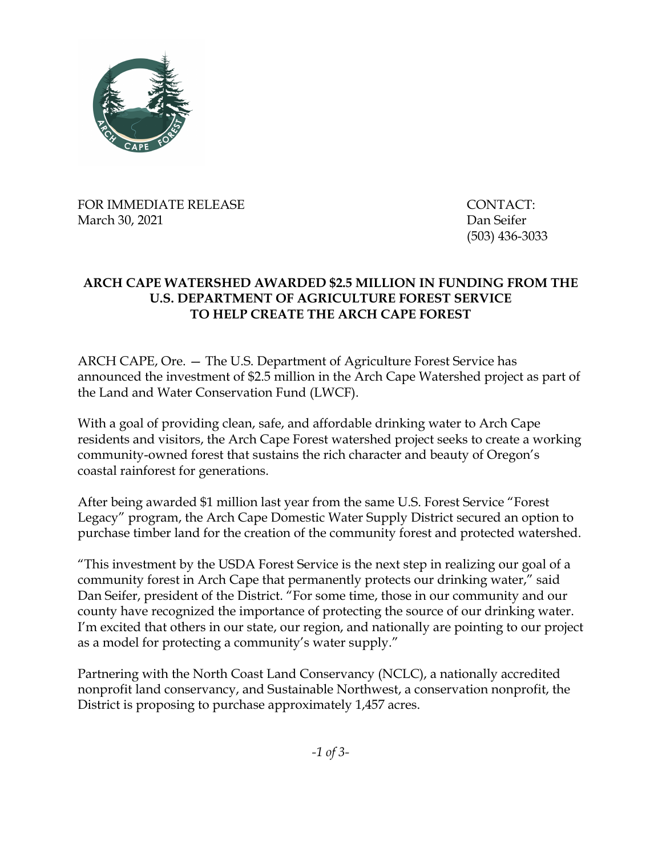

FOR IMMEDIATE RELEASE THE CONTACT: March 30, 2021 Dan Seifer

(503) 436-3033

## **ARCH CAPE WATERSHED AWARDED \$2.5 MILLION IN FUNDING FROM THE U.S. DEPARTMENT OF AGRICULTURE FOREST SERVICE TO HELP CREATE THE ARCH CAPE FOREST**

ARCH CAPE, Ore. — The U.S. Department of Agriculture Forest Service has announced the investment of \$2.5 million in the Arch Cape Watershed project as part of the Land and Water Conservation Fund (LWCF).

With a goal of providing clean, safe, and affordable drinking water to Arch Cape residents and visitors, the Arch Cape Forest watershed project seeks to create a working community-owned forest that sustains the rich character and beauty of Oregon's coastal rainforest for generations.

After being awarded \$1 million last year from the same U.S. Forest Service "Forest Legacy" program, the Arch Cape Domestic Water Supply District secured an option to purchase timber land for the creation of the community forest and protected watershed.

"This investment by the USDA Forest Service is the next step in realizing our goal of a community forest in Arch Cape that permanently protects our drinking water," said Dan Seifer, president of the District. "For some time, those in our community and our county have recognized the importance of protecting the source of our drinking water. I'm excited that others in our state, our region, and nationally are pointing to our project as a model for protecting a community's water supply."

Partnering with the North Coast Land Conservancy (NCLC), a nationally accredited nonprofit land conservancy, and Sustainable Northwest, a conservation nonprofit, the District is proposing to purchase approximately 1,457 acres.

*-1 of 3-*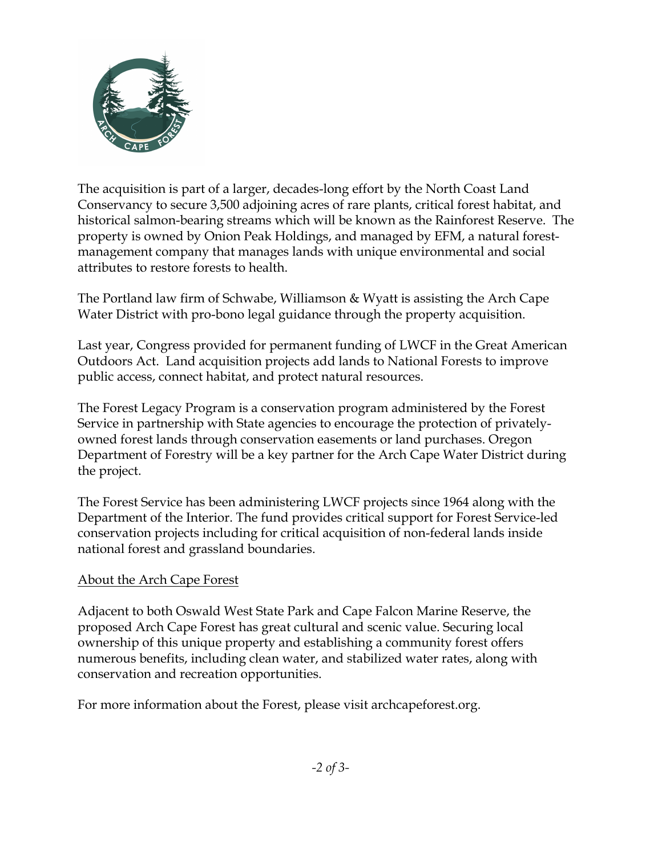

The acquisition is part of a larger, decades-long effort by the North Coast Land Conservancy to secure 3,500 adjoining acres of rare plants, critical forest habitat, and historical salmon-bearing streams which will be known as the Rainforest Reserve. The property is owned by Onion Peak Holdings, and managed by EFM, a natural forestmanagement company that manages lands with unique environmental and social attributes to restore forests to health.

The Portland law firm of Schwabe, Williamson & Wyatt is assisting the Arch Cape Water District with pro-bono legal guidance through the property acquisition.

Last year, Congress provided for permanent funding of LWCF in the Great American Outdoors Act. Land acquisition projects add lands to National Forests to improve public access, connect habitat, and protect natural resources.

The Forest Legacy Program is a conservation program administered by the Forest Service in partnership with State agencies to encourage the protection of privatelyowned forest lands through conservation easements or land purchases. Oregon Department of Forestry will be a key partner for the Arch Cape Water District during the project.

The Forest Service has been administering LWCF projects since 1964 along with the Department of the Interior. The fund provides critical support for Forest Service-led conservation projects including for critical acquisition of non-federal lands inside national forest and grassland boundaries.

## About the Arch Cape Forest

Adjacent to both Oswald West State Park and Cape Falcon Marine Reserve, the proposed Arch Cape Forest has great cultural and scenic value. Securing local ownership of this unique property and establishing a community forest offers numerous benefits, including clean water, and stabilized water rates, along with conservation and recreation opportunities.

For more information about the Forest, please visit archcapeforest.org.